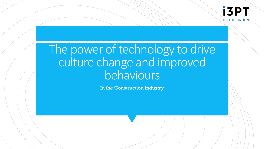# The power of technology to drive culture change and improved behaviours

In the Construction Industry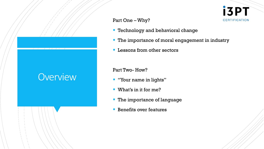### **Overview**

Part One –Why?

- **Technology and behavioral change**
- **The importance of moral engagement in industry**

**i3PT** 

**CERTIFICATION** 

**EXECUTE:** Lessons from other sectors

Part Two- How?

- "Your name in lights"
- What's in it for me?
- **The importance of language**
- **EXECUTE:** Benefits over features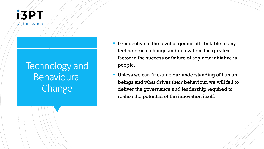

## Technology and Behavioural Change

- **If Irrespective of the level of genius attributable to any** technological change and innovation, the greatest factor in the success or failure of any new initiative is people.
- **Unless we can fine-tune our understanding of human** beings and what drives their behaviour, we will fail to deliver the governance and leadership required to realise the potential of the innovation itself.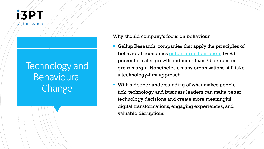

## Technology and **Behavioural Change**

Why should company's focus on behaviour

- Gallup Research, companies that apply the principles of behavioral economics [outperform their peers](http://www.gallup.com/services/170954/behavioral-economics.aspx) by 85 percent in sales growth and more than 25 percent in gross margin. Nonetheless, many organizations still take a technology-first approach.
- **EXTER 1** With a deeper understanding of what makes people tick, technology and business leaders can make better technology decisions and create more meaningful digital transformations, engaging experiences, and valuable disruptions.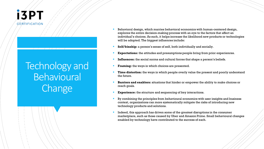

## Technology and **Behavioural Change**

- Behavioral design, which marries behavioral economics with human-centered design, explores the entire decision-making process with an eye to the factors that affect an individual's choices. As such, it helps increase the likelihood new products or technologies will be adopted. The biggest influences include:
- Self/kinship: a person's sense of self, both individually and socially.
- **Expectations:** the attitudes and presumptions people bring from prior experiences.
- **Influences:** the social norms and cultural forces that shape a person's beliefs.
- **Framing:** the ways in which choices are presented.
- **Time distortion:** the ways in which people overly value the present and poorly understand the future.
- **Barriers and enablers:** situations that hinder or empower the ability to make choices or reach goals.
- **Experience:** the structure and sequencing of key interactions.
- By combining the principles from behavioural economics with user insights and business context, organizations can more systematically mitigate the risks of introducing new technology products and solutions.
- Indeed, this approach has driven some of the greatest disruptions in the consumer marketplace, such as those caused by Uber and Amazon Prime. Small behavioural changes enabled by technology have contributed to the success of each.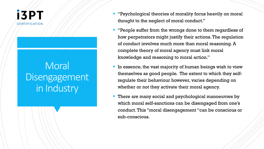### **Moral** Disengagement in Industry

- "Psychological theories of morality focus heavily on moral thought to the neglect of moral conduct."
- "People suffer from the wrongs done to them regardless of how perpetrators might justify their actions. The regulation of conduct involves much more than moral reasoning. A complete theory of moral agency must link moral knowledge and reasoning to moral action."
- **IF** In essence, the vast majority of human beings wish to view themselves as good people. The extent to which they selfregulate their behaviour however, varies depending on whether or not they activate their moral agency.
- There are many social and psychological manoeuvres by which moral self-sanctions can be disengaged from one's conduct. This "moral disengagement "can be conscious or sub-conscious.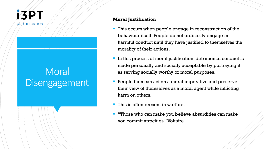## **Moral** Disengagement

#### **Moral Justification**

- This occurs when people engage in reconstruction of the behaviour itself. People do not ordinarily engage in harmful conduct until they have justified to themselves the morality of their actions.
- In this process of moral justification, detrimental conduct is made personally and socially acceptable by portraying it as serving socially worthy or moral purposes.
- People then can act on a moral imperative and preserve their view of themselves as a moral agent while inflicting harm on others.
- This is often present in warfare.
- "Those who can make you believe absurdities can make you commit atrocities." Voltaire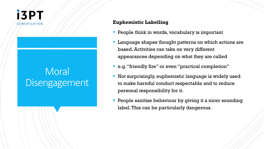

#### **Euphemistic Labelling**

- **People think in words, vocabulary is important**
- Language shapes thought patterns on which actions are based. Activities can take on very different appearances depending on what they are called
- e.g. "friendly fire" or even "practical completion"
- Not surprisingly, euphemistic language is widely used to make harmful conduct respectable and to reduce personal responsibility for it.
- People sanitise behaviour by giving it a nicer sounding label. This can be particularly dangerous.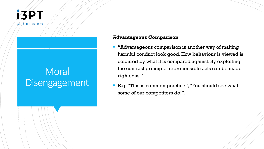

#### **Advantageous Comparison**

- "Advantageous comparison is another way of making harmful conduct look good. How behaviour is viewed is coloured by what it is compared against. By exploiting the contrast principle, reprehensible acts can be made righteous."
- E.g. "This is common practice", "You should see what some of our competitors do!",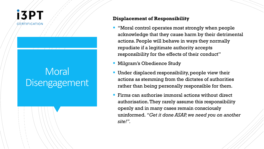

#### **Displacement of Responsibility**

- "Moral control operates most strongly when people acknowledge that they cause harm by their detrimental actions. People will behave in ways they normally repudiate if a legitimate authority accepts responsibility for the effects of their conduct"
- **Milgram's Obedience Study**
- Under displaced responsibility, people view their actions as stemming from the dictates of authorities rather than being personally responsible for them.
- $\blacksquare$  Firms can authorise immoral actions without direct authorisation. They rarely assume this responsibility openly and in many cases remain consciously uninformed. *"Get it done ASAP, we need you on another site!".*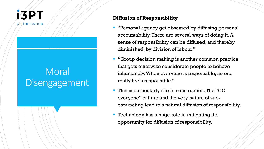## **Moral** Disengagement

#### **Diffusion of Responsibility**

- "Personal agency get obscured by diffusing personal accountability. There are several ways of doing it. A sense of responsibility can be diffused, and thereby diminished, by division of labour."
- **"Group decision making is another common practice** that gets otherwise considerate people to behave inhumanely. When everyone is responsible, no one really feels responsible."
- **This is particularly rife in construction. The "CC** everyone" culture and the very nature of subcontracting lead to a natural diffusion of responsibility.
- **Technology has a huge role in mitigating the** opportunity for diffusion of responsibility.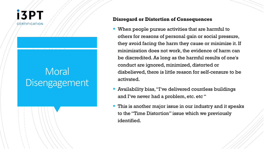

#### **Disregard or Distortion of Consequences**

- When people pursue activities that are harmful to others for reasons of personal gain or social pressure, they avoid facing the harm they cause or minimize it. If minimization does not work, the evidence of harm can be discredited. As long as the harmful results of one's conduct are ignored, minimized, distorted or disbelieved, there is little reason for self-censure to be activated.
- Availability bias, "I've delivered countless buildings and I've never had a problem, etc. etc "
- This is another major issue in our industry and it speaks to the "Time Distortion" issue which we previously identified.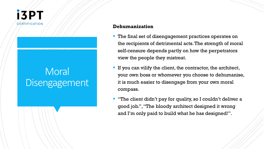

#### **Dehumanization**

- The final set of disengagement practices operates on the recipients of detrimental acts. The strength of moral self-censure depends partly on how the perpetrators view the people they mistreat.
- **If you can vilify the client, the contractor, the architect,** your own boss or whomever you choose to dehumanise, it is much easier to disengage from your own moral compass.
- "The client didn't pay for quality, so I couldn't deliver a good job.", "The bloody architect designed it wrong and I'm only paid to build what he has designed!".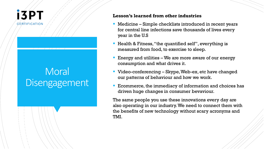## **Moral** Disengagement

#### **Lesson's learned from other industries**

- Medicine Simple checklists introduced in recent years for central line infections save thousands of lives every year in the U.S
- Health & Fitness, "the quantified self", everything is measured from food, to exercise to sleep.
- Energy and utilities  $-We$  are more aware of our energy consumption and what drives it.
- Video-conferencing Skype, Web-ex, etc have changed our patterns of behaviour and how we work.
- Ecommerce, the immediacy of information and choices has driven huge changes in consumer bevaviour.

The same people you use these innovations every day are also operating in our industry. We need to connect them with the benefits of new technology without scary acronyms and TMI.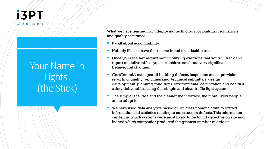

## Your Name in Lights! (the Stick)

What we have learned from deploying technology for building regulations and quality assurance.

- It's all about accountability.
- Nobody likes to have their name in red on a dashboard.
- Once you set a fair requirement, notifying everyone that you will track and report on deliverables, you can achieve small but very significant behavioural changes.
- CertCentral® manages all building defects, inspection and supervision reporting, quality benchmarking, technical submittals, design development, planning conditions, environmental certification and health & safety deliverables using this simple and clear traffic light system.
- The simpler the idea and the cleaner the interface, the more likely people are to adopt it.
- We have used data analytics based on Uniclass nomenclature to extract information and statistics relating to construction defects. This information can tell us which systems were most likely to be found defective on site and indeed which companies produced the greatest number of defects.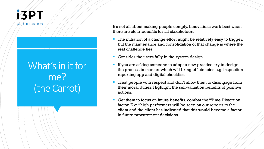

## What's in it for me? (the Carrot)

It's not all about making people comply. Innovations work best when there are clear benefits for all stakeholders.

- The initiation of a change effort might be relatively easy to trigger, but the maintenance and consolidation of that change is where the real challenge lies
- Consider the users fully in the system design.
- If you are asking someone to adopt a new practice, try to design the process in manner which will bring efficiencies e.g. inspection reporting app and digital checklists
- Treat people with respect and don't allow them to disengage from their moral duties. Highlight the self-valuation benefits of positive actions.
- Get them to focus on future benefits, combat the "Time Distortion" factor. E.g. "high performers will be seen on our reports to the client and the client has indicated that this would become a factor in future procurement decisions."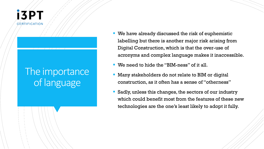

### The importance of language

- We have already discussed the risk of euphemistic labelling but there is another major risk arising from Digital Construction, which is that the over-use of acronyms and complex language makes it inaccessible.
- We need to hide the "BIM-ness" of it all.
- **EXTERGH** Many stakeholders do not relate to BIM or digital construction, as it often has a sense of "otherness"
- Sadly, unless this changes, the sectors of our industry which could benefit most from the features of these new technologies are the one's least likely to adopt it fully.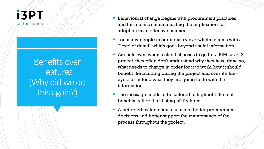

Benefits over **Features** (Why did we do this again?)

- **EX** Behavioural change begins with procurement practices and this means communicating the implications of adoption in an effective manner.
- Too many people in our industry overwhelm clients with a "level of detail" which goes beyond useful information.
- As such, even when a client chooses to go for a BIM Level 2 project, they often don't understand why they have done so, what needs to change in order for it to work, how it should benefit the building during the project and over it's lifecycle or indeed what they are going to do with the information.
- The message needs to be tailored to highlight the real benefits, rather than listing off features.
- A better educated client can make better procurement decisions and better support the maintenance of the process throughout the project.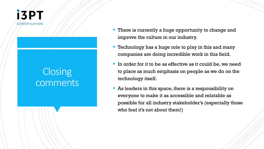

## **Closing** comments

- There is currently a huge opportunity to change and improve the culture in our industry.
- **Technology has a huge role to play in this and many** companies are doing incredible work in this field.
- If In order for it to be as effective as it could be, we need to place as much emphasis on people as we do on the technology itself.
- As leaders in this space, there is a responsibility on everyone to make it as accessible and relatable as possible for all industry stakeholder's (especially those who feel it's not about them!)